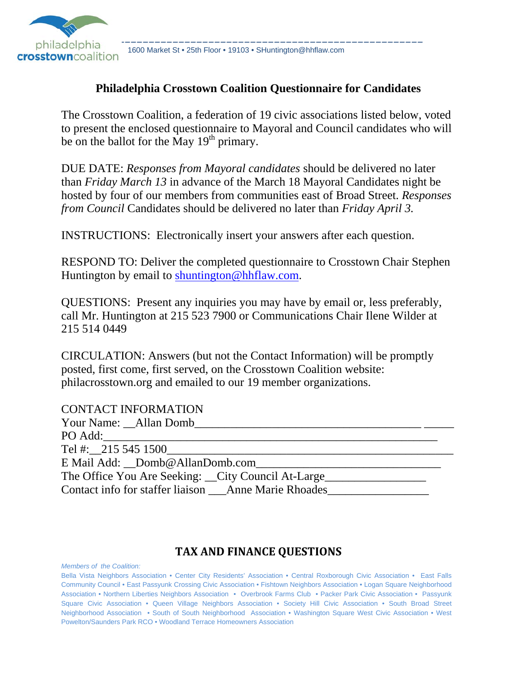

## **Philadelphia Crosstown Coalition Questionnaire for Candidates**

The Crosstown Coalition, a federation of 19 civic associations listed below, voted to present the enclosed questionnaire to Mayoral and Council candidates who will be on the ballot for the May  $19<sup>th</sup>$  primary.

DUE DATE: *Responses from Mayoral candidates* should be delivered no later than *Friday March 13* in advance of the March 18 Mayoral Candidates night be hosted by four of our members from communities east of Broad Street. *Responses from Council* Candidates should be delivered no later than *Friday April 3.*

INSTRUCTIONS: Electronically insert your answers after each question.

RESPOND TO: Deliver the completed questionnaire to Crosstown Chair Stephen Huntington by email to shuntington@hhflaw.com.

QUESTIONS: Present any inquiries you may have by email or, less preferably, call Mr. Huntington at 215 523 7900 or Communications Chair Ilene Wilder at 215 514 0449

CIRCULATION: Answers (but not the Contact Information) will be promptly posted, first come, first served, on the Crosstown Coalition website: philacrosstown.org and emailed to our 19 member organizations.

#### CONTACT INFORMATION

| Your Name: Allan Domb                                                             |  |
|-----------------------------------------------------------------------------------|--|
| PO Add:                                                                           |  |
| Tel #: $215\,545\,1500$                                                           |  |
| E Mail Add: Domb@AllanDomb.com                                                    |  |
| The Office You Are Seeking: __City Council At-Large______________________________ |  |
| Contact info for staffer liaison Anne Marie Rhoades                               |  |

#### **TAX AND FINANCE QUESTIONS**

*Members of the Coalition:*

Bella Vista Neighbors Association • Center City Residents' Association • Central Roxborough Civic Association • East Falls Community Council • East Passyunk Crossing Civic Association • Fishtown Neighbors Association • Logan Square Neighborhood Association • Northern Liberties Neighbors Association • Overbrook Farms Club • Packer Park Civic Association • Passyunk Square Civic Association • Queen Village Neighbors Association • Society Hill Civic Association • South Broad Street Neighborhood Association • South of South Neighborhood Association • Washington Square West Civic Association • West Powelton/Saunders Park RCO • Woodland Terrace Homeowners Association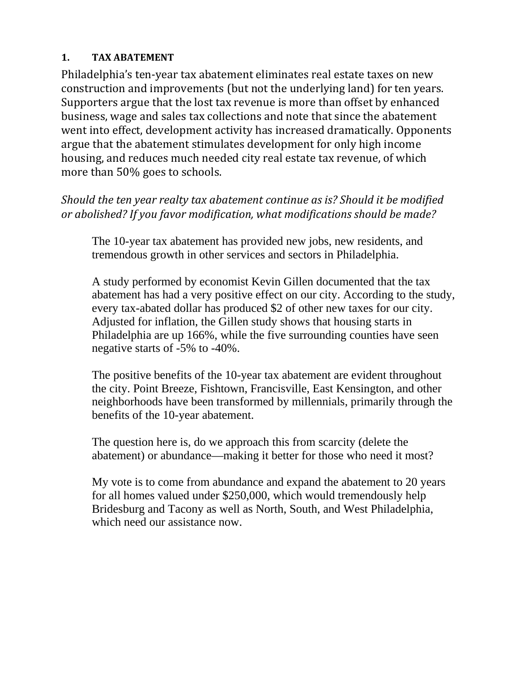## **1. TAX ABATEMENT**

Philadelphia's ten-year tax abatement eliminates real estate taxes on new construction and improvements (but not the underlying land) for ten years. Supporters argue that the lost tax revenue is more than offset by enhanced business, wage and sales tax collections and note that since the abatement went into effect, development activity has increased dramatically. Opponents argue that the abatement stimulates development for only high income housing, and reduces much needed city real estate tax revenue, of which more than 50% goes to schools.

*Should the ten year realty tax abatement continue as is? Should it be modified or abolished? If you favor modification, what modifications should be made?*

The 10-year tax abatement has provided new jobs, new residents, and tremendous growth in other services and sectors in Philadelphia.

A study performed by economist Kevin Gillen documented that the tax abatement has had a very positive effect on our city. According to the study, every tax-abated dollar has produced \$2 of other new taxes for our city. Adjusted for inflation, the Gillen study shows that housing starts in Philadelphia are up 166%, while the five surrounding counties have seen negative starts of -5% to -40%.

The positive benefits of the 10-year tax abatement are evident throughout the city. Point Breeze, Fishtown, Francisville, East Kensington, and other neighborhoods have been transformed by millennials, primarily through the benefits of the 10-year abatement.

The question here is, do we approach this from scarcity (delete the abatement) or abundance—making it better for those who need it most?

My vote is to come from abundance and expand the abatement to 20 years for all homes valued under \$250,000, which would tremendously help Bridesburg and Tacony as well as North, South, and West Philadelphia, which need our assistance now.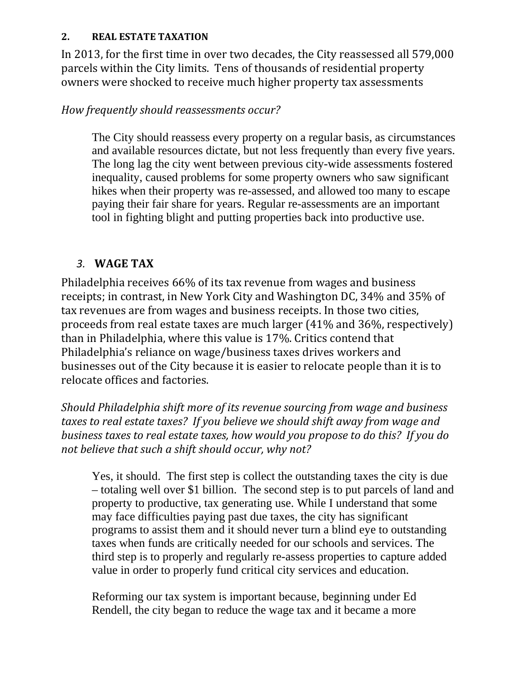#### **2. REAL ESTATE TAXATION**

In 2013, for the first time in over two decades, the City reassessed all 579,000 parcels within the City limits. Tens of thousands of residential property owners were shocked to receive much higher property tax assessments

# *How frequently should reassessments occur?*

The City should reassess every property on a regular basis, as circumstances and available resources dictate, but not less frequently than every five years. The long lag the city went between previous city-wide assessments fostered inequality, caused problems for some property owners who saw significant hikes when their property was re-assessed, and allowed too many to escape paying their fair share for years. Regular re-assessments are an important tool in fighting blight and putting properties back into productive use.

# *3.* **WAGE TAX**

Philadelphia receives 66% of its tax revenue from wages and business receipts; in contrast, in New York City and Washington DC, 34% and 35% of tax revenues are from wages and business receipts. In those two cities, proceeds from real estate taxes are much larger (41% and 36%, respectively) than in Philadelphia, where this value is 17%. Critics contend that Philadelphia's reliance on wage/business taxes drives workers and businesses out of the City because it is easier to relocate people than it is to relocate offices and factories.

*Should Philadelphia shift more of its revenue sourcing from wage and business taxes to real estate taxes? If you believe we should shift away from wage and business taxes to real estate taxes, how would you propose to do this? If you do not believe that such a shift should occur, why not?* 

Yes, it should. The first step is collect the outstanding taxes the city is due – totaling well over \$1 billion. The second step is to put parcels of land and property to productive, tax generating use. While I understand that some may face difficulties paying past due taxes, the city has significant programs to assist them and it should never turn a blind eye to outstanding taxes when funds are critically needed for our schools and services. The third step is to properly and regularly re-assess properties to capture added value in order to properly fund critical city services and education.

Reforming our tax system is important because, beginning under Ed Rendell, the city began to reduce the wage tax and it became a more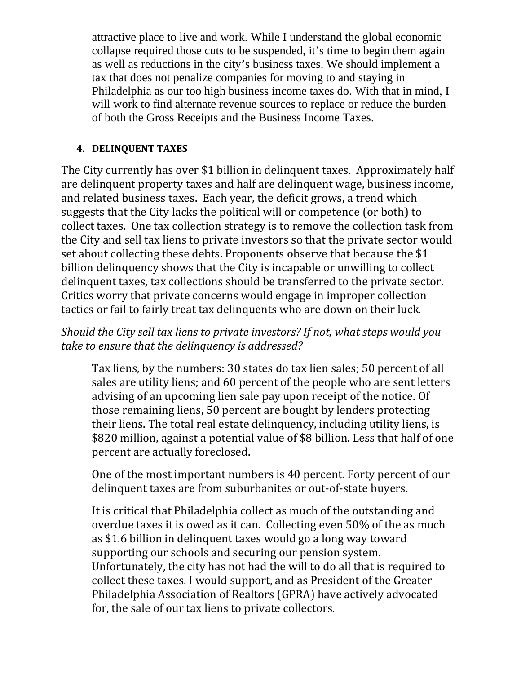attractive place to live and work. While I understand the global economic collapse required those cuts to be suspended, it's time to begin them again as well as reductions in the city's business taxes. We should implement a tax that does not penalize companies for moving to and staying in Philadelphia as our too high business income taxes do. With that in mind, I will work to find alternate revenue sources to replace or reduce the burden of both the Gross Receipts and the Business Income Taxes.

## **4. DELINQUENT TAXES**

The City currently has over \$1 billion in delinguent taxes. Approximately half are delinquent property taxes and half are delinquent wage, business income, and related business taxes. Each year, the deficit grows, a trend which suggests that the City lacks the political will or competence (or both) to collect taxes. One tax collection strategy is to remove the collection task from the City and sell tax liens to private investors so that the private sector would set about collecting these debts. Proponents observe that because the \$1 billion delinquency shows that the City is incapable or unwilling to collect delinquent taxes, tax collections should be transferred to the private sector. Critics worry that private concerns would engage in improper collection tactics or fail to fairly treat tax delinquents who are down on their luck.

# *Should the City sell tax liens to private investors? If not, what steps would you take to ensure that the delinquency is addressed?*

Tax liens, by the numbers: 30 states do tax lien sales; 50 percent of all sales are utility liens; and 60 percent of the people who are sent letters advising of an upcoming lien sale pay upon receipt of the notice. Of those remaining liens, 50 percent are bought by lenders protecting their liens. The total real estate delinquency, including utility liens, is \$820 million, against a potential value of \$8 billion. Less that half of one percent are actually foreclosed.

One of the most important numbers is 40 percent. Forty percent of our delinquent taxes are from suburbanites or out-of-state buyers.

It is critical that Philadelphia collect as much of the outstanding and overdue taxes it is owed as it can. Collecting even 50% of the as much as \$1.6 billion in delinquent taxes would go a long way toward supporting our schools and securing our pension system. Unfortunately, the city has not had the will to do all that is required to collect these taxes. I would support, and as President of the Greater Philadelphia Association of Realtors (GPRA) have actively advocated for, the sale of our tax liens to private collectors.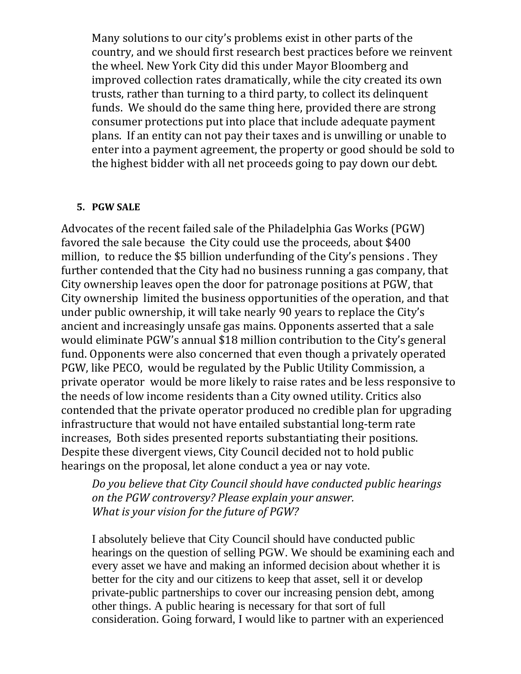Many solutions to our city's problems exist in other parts of the country, and we should first research best practices before we reinvent the wheel. New York City did this under Mayor Bloomberg and improved collection rates dramatically, while the city created its own trusts, rather than turning to a third party, to collect its delinquent funds. We should do the same thing here, provided there are strong consumer protections put into place that include adequate payment plans. If an entity can not pay their taxes and is unwilling or unable to enter into a payment agreement, the property or good should be sold to the highest bidder with all net proceeds going to pay down our debt.

#### **5. PGW SALE**

Advocates of the recent failed sale of the Philadelphia Gas Works (PGW) favored the sale because the City could use the proceeds, about \$400 million, to reduce the \$5 billion underfunding of the City's pensions. They further contended that the City had no business running a gas company, that City ownership leaves open the door for patronage positions at PGW, that City ownership limited the business opportunities of the operation, and that under public ownership, it will take nearly 90 years to replace the City's ancient and increasingly unsafe gas mains. Opponents asserted that a sale would eliminate PGW's annual \$18 million contribution to the City's general fund. Opponents were also concerned that even though a privately operated PGW, like PECO, would be regulated by the Public Utility Commission, a private operator would be more likely to raise rates and be less responsive to the needs of low income residents than a City owned utility. Critics also contended that the private operator produced no credible plan for upgrading infrastructure that would not have entailed substantial long-term rate increases, Both sides presented reports substantiating their positions. Despite these divergent views, City Council decided not to hold public hearings on the proposal, let alone conduct a yea or nay vote.

*Do you believe that City Council should have conducted public hearings on the PGW controversy? Please explain your answer. What is your vision for the future of PGW?* 

I absolutely believe that City Council should have conducted public hearings on the question of selling PGW. We should be examining each and every asset we have and making an informed decision about whether it is better for the city and our citizens to keep that asset, sell it or develop private-public partnerships to cover our increasing pension debt, among other things. A public hearing is necessary for that sort of full consideration. Going forward, I would like to partner with an experienced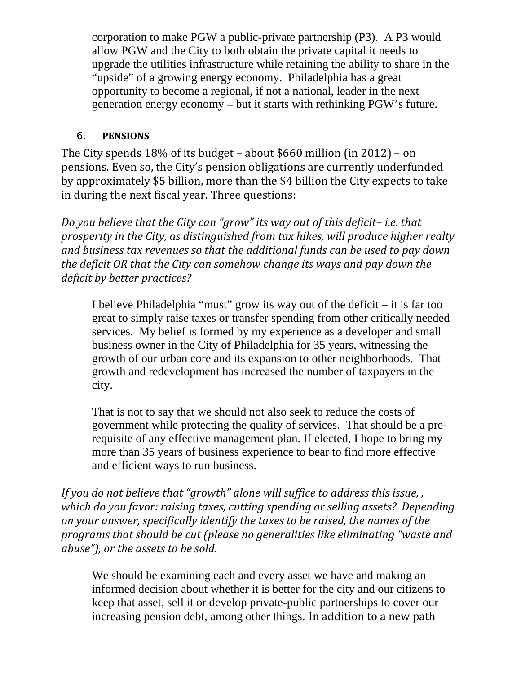corporation to make PGW a public-private partnership (P3). A P3 would allow PGW and the City to both obtain the private capital it needs to upgrade the utilities infrastructure while retaining the ability to share in the "upside" of a growing energy economy. Philadelphia has a great opportunity to become a regional, if not a national, leader in the next generation energy economy – but it starts with rethinking PGW's future.

## 6. **PENSIONS**

The City spends  $18\%$  of its budget – about \$660 million (in 2012) – on pensions. Even so, the City's pension obligations are currently underfunded by approximately \$5 billion, more than the \$4 billion the City expects to take in during the next fiscal year. Three questions:

*Do you believe that the City can "grow" its way out of this deficit– i.e. that prosperity in the City, as distinguished from tax hikes, will produce higher realty and business tax revenues so that the additional funds can be used to pay down the deficit OR that the City can somehow change its ways and pay down the deficit by better practices?*

I believe Philadelphia "must" grow its way out of the deficit – it is far too great to simply raise taxes or transfer spending from other critically needed services. My belief is formed by my experience as a developer and small business owner in the City of Philadelphia for 35 years, witnessing the growth of our urban core and its expansion to other neighborhoods. That growth and redevelopment has increased the number of taxpayers in the city.

That is not to say that we should not also seek to reduce the costs of government while protecting the quality of services. That should be a prerequisite of any effective management plan. If elected, I hope to bring my more than 35 years of business experience to bear to find more effective and efficient ways to run business.

*If you do not believe that "growth" alone will suffice to address this issue, , which do you favor: raising taxes, cutting spending or selling assets? Depending on your answer, specifically identify the taxes to be raised, the names of the programs that should be cut (please no generalities like eliminating "waste and abuse"), or the assets to be sold.*

We should be examining each and every asset we have and making an informed decision about whether it is better for the city and our citizens to keep that asset, sell it or develop private-public partnerships to cover our increasing pension debt, among other things. In addition to a new path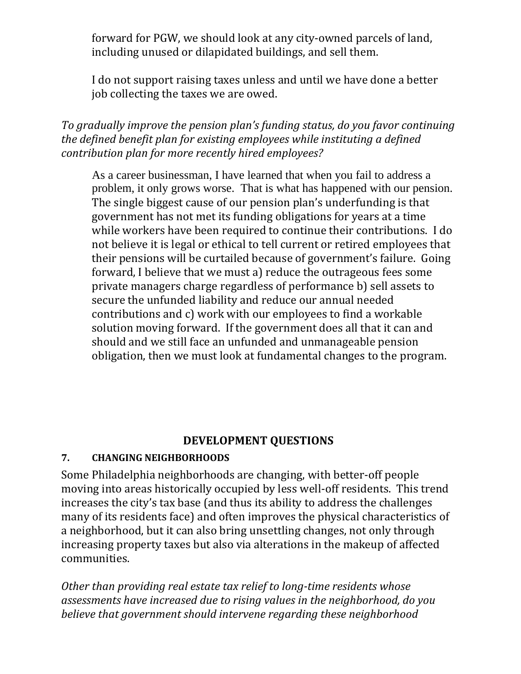forward for PGW, we should look at any city-owned parcels of land, including unused or dilapidated buildings, and sell them.

I do not support raising taxes unless and until we have done a better job collecting the taxes we are owed.

*To gradually improve the pension plan's funding status, do you favor continuing the defined benefit plan for existing employees while instituting a defined contribution plan for more recently hired employees?*

As a career businessman, I have learned that when you fail to address a problem, it only grows worse. That is what has happened with our pension. The single biggest cause of our pension plan's underfunding is that government has not met its funding obligations for years at a time while workers have been required to continue their contributions. I do not believe it is legal or ethical to tell current or retired employees that their pensions will be curtailed because of government's failure. Going forward. I believe that we must a) reduce the outrageous fees some private managers charge regardless of performance b) sell assets to secure the unfunded liability and reduce our annual needed contributions and c) work with our employees to find a workable solution moving forward. If the government does all that it can and should and we still face an unfunded and unmanageable pension obligation, then we must look at fundamental changes to the program.

# **DEVELOPMENT QUESTIONS**

#### **7. CHANGING NEIGHBORHOODS**

Some Philadelphia neighborhoods are changing, with better-off people moving into areas historically occupied by less well-off residents. This trend increases the city's tax base (and thus its ability to address the challenges many of its residents face) and often improves the physical characteristics of a neighborhood, but it can also bring unsettling changes, not only through increasing property taxes but also via alterations in the makeup of affected communities. 

*Other than providing real estate tax relief to long‐time residents whose assessments have increased due to rising values in the neighborhood, do you believe that government should intervene regarding these neighborhood*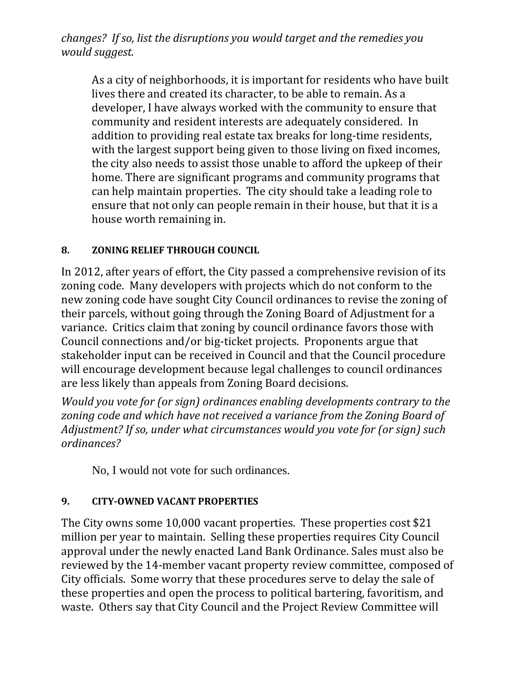*changes? If so, list the disruptions you would target and the remedies you would suggest.*

As a city of neighborhoods, it is important for residents who have built lives there and created its character, to be able to remain. As a developer, I have always worked with the community to ensure that community and resident interests are adequately considered. In addition to providing real estate tax breaks for long-time residents, with the largest support being given to those living on fixed incomes, the city also needs to assist those unable to afford the upkeep of their home. There are significant programs and community programs that can help maintain properties. The city should take a leading role to ensure that not only can people remain in their house, but that it is a house worth remaining in.

## **8. ZONING RELIEF THROUGH COUNCIL**

In 2012, after years of effort, the City passed a comprehensive revision of its zoning code. Many developers with projects which do not conform to the new zoning code have sought City Council ordinances to revise the zoning of their parcels, without going through the Zoning Board of Adjustment for a variance. Critics claim that zoning by council ordinance favors those with Council connections and/or big-ticket projects. Proponents argue that stakeholder input can be received in Council and that the Council procedure will encourage development because legal challenges to council ordinances are less likely than appeals from Zoning Board decisions.

*Would you vote for (or sign) ordinances enabling developments contrary to the zoning code and which have not received a variance from the Zoning Board of Adjustment? If so, under what circumstances would you vote for (or sign) such ordinances?*

No, I would not vote for such ordinances.

# **9. CITY‐OWNED VACANT PROPERTIES**

The City owns some  $10,000$  vacant properties. These properties cost \$21 million per year to maintain. Selling these properties requires City Council approval under the newly enacted Land Bank Ordinance. Sales must also be reviewed by the 14-member vacant property review committee, composed of City officials. Some worry that these procedures serve to delay the sale of these properties and open the process to political bartering, favoritism, and waste. Others say that City Council and the Project Review Committee will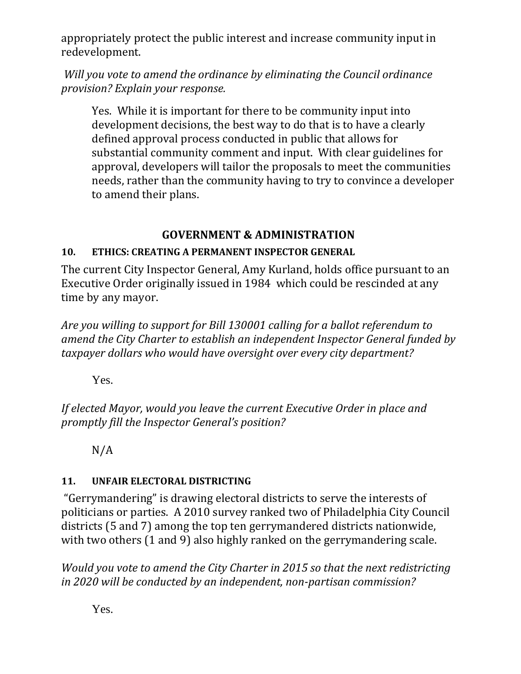appropriately protect the public interest and increase community input in redevelopment. 

*Will you vote to amend the ordinance by eliminating the Council ordinance provision? Explain your response.*

Yes. While it is important for there to be community input into development decisions, the best way to do that is to have a clearly defined approval process conducted in public that allows for substantial community comment and input. With clear guidelines for approval, developers will tailor the proposals to meet the communities needs, rather than the community having to try to convince a developer to amend their plans.

# **GOVERNMENT & ADMINISTRATION**

# **10. ETHICS: CREATING A PERMANENT INSPECTOR GENERAL**

The current City Inspector General, Amy Kurland, holds office pursuant to an Executive Order originally issued in 1984 which could be rescinded at any time by any mayor.

*Are you willing to support for Bill 130001 calling for a ballot referendum to amend the City Charter to establish an independent Inspector General funded by taxpayer dollars who would have oversight over every city department?* 

Yes.

*If elected Mayor, would you leave the current Executive Order in place and promptly fill the Inspector General's position?*

N/A 

# 11. **UNFAIR ELECTORAL DISTRICTING**

"Gerrymandering" is drawing electoral districts to serve the interests of politicians or parties. A 2010 survey ranked two of Philadelphia City Council districts (5 and 7) among the top ten gerrymandered districts nationwide, with two others  $(1 \text{ and } 9)$  also highly ranked on the gerrymandering scale.

*Would you vote to amend the City Charter in 2015 so that the next redistricting in 2020 will be conducted by an independent, non‐partisan commission?* 

Yes.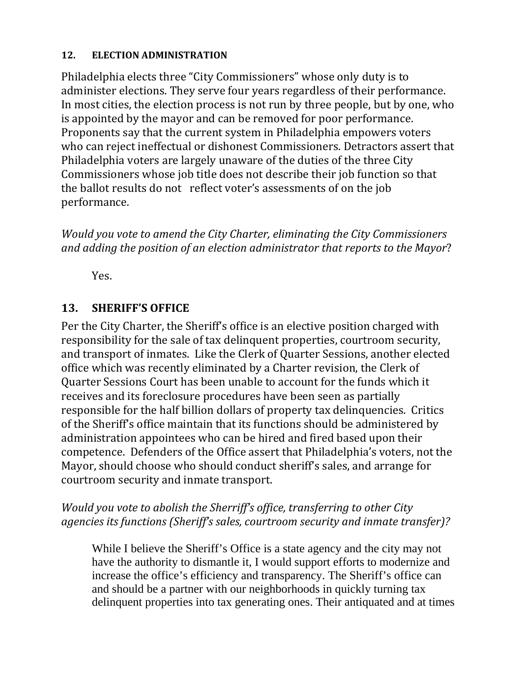#### 12. **ELECTION ADMINISTRATION**

Philadelphia elects three "City Commissioners" whose only duty is to administer elections. They serve four years regardless of their performance. In most cities, the election process is not run by three people, but by one, who is appointed by the mayor and can be removed for poor performance. Proponents say that the current system in Philadelphia empowers voters who can reject ineffectual or dishonest Commissioners. Detractors assert that Philadelphia voters are largely unaware of the duties of the three City Commissioners whose job title does not describe their job function so that the ballot results do not reflect voter's assessments of on the job performance. 

*Would you vote to amend the City Charter, eliminating the City Commissioners and adding the position of an election administrator that reports to the Mayor*? 

Yes. 

# **13. SHERIFF'S OFFICE**

Per the City Charter, the Sheriff's office is an elective position charged with responsibility for the sale of tax delinquent properties, courtroom security, and transport of inmates. Like the Clerk of Quarter Sessions, another elected office which was recently eliminated by a Charter revision, the Clerk of Quarter Sessions Court has been unable to account for the funds which it receives and its foreclosure procedures have been seen as partially responsible for the half billion dollars of property tax delinquencies. Critics of the Sheriff's office maintain that its functions should be administered by administration appointees who can be hired and fired based upon their competence. Defenders of the Office assert that Philadelphia's voters, not the Mayor, should choose who should conduct sheriff's sales, and arrange for courtroom security and inmate transport.

# *Would you vote to abolish the Sherriff's office, transferring to other City agencies its functions (Sheriff's sales, courtroom security and inmate transfer)?*

While I believe the Sheriff's Office is a state agency and the city may not have the authority to dismantle it, I would support efforts to modernize and increase the office's efficiency and transparency. The Sheriff's office can and should be a partner with our neighborhoods in quickly turning tax delinquent properties into tax generating ones. Their antiquated and at times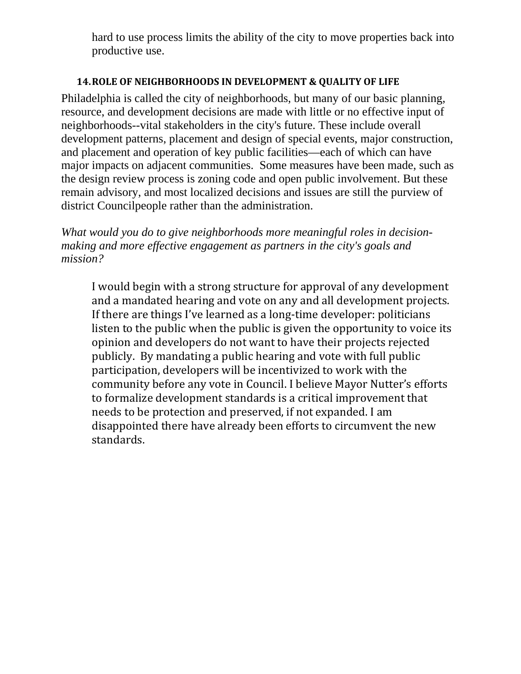hard to use process limits the ability of the city to move properties back into productive use.

#### **14.ROLE OF NEIGHBORHOODS IN DEVELOPMENT & QUALITY OF LIFE**

Philadelphia is called the city of neighborhoods, but many of our basic planning, resource, and development decisions are made with little or no effective input of neighborhoods--vital stakeholders in the city's future. These include overall development patterns, placement and design of special events, major construction, and placement and operation of key public facilities—each of which can have major impacts on adjacent communities. Some measures have been made, such as the design review process is zoning code and open public involvement. But these remain advisory, and most localized decisions and issues are still the purview of district Councilpeople rather than the administration.

*What would you do to give neighborhoods more meaningful roles in decisionmaking and more effective engagement as partners in the city's goals and mission?* 

I would begin with a strong structure for approval of any development and a mandated hearing and vote on any and all development projects. If there are things I've learned as a long-time developer: politicians listen to the public when the public is given the opportunity to voice its opinion and developers do not want to have their projects rejected publicly. By mandating a public hearing and vote with full public participation, developers will be incentivized to work with the community before any vote in Council. I believe Mayor Nutter's efforts to formalize development standards is a critical improvement that needs to be protection and preserved, if not expanded. I am disappointed there have already been efforts to circumvent the new standards.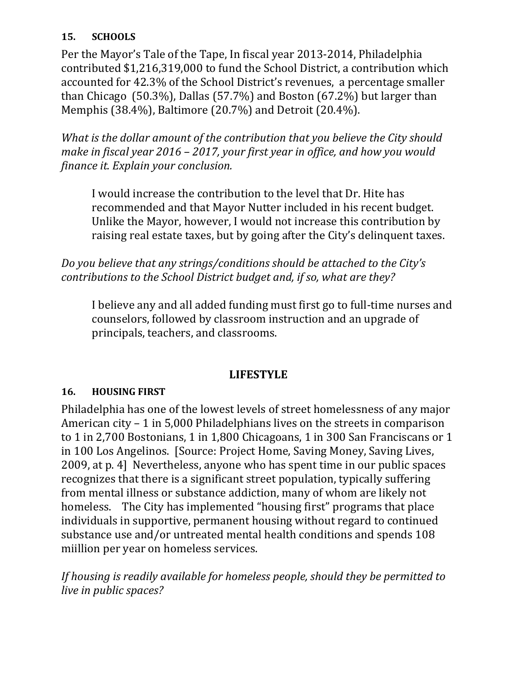# **15. SCHOOLS**

Per the Mayor's Tale of the Tape, In fiscal year 2013-2014, Philadelphia contributed \$1,216,319,000 to fund the School District, a contribution which accounted for 42.3% of the School District's revenues, a percentage smaller than Chicago  $(50.3\%)$ , Dallas  $(57.7\%)$  and Boston  $(67.2\%)$  but larger than Memphis (38.4%), Baltimore (20.7%) and Detroit (20.4%).

*What is the dollar amount of the contribution that you believe the City should make in fiscal year 2016 – 2017, your first year in office, and how you would finance it. Explain your conclusion.*

I would increase the contribution to the level that Dr. Hite has recommended and that Mayor Nutter included in his recent budget. Unlike the Mayor, however, I would not increase this contribution by raising real estate taxes, but by going after the City's delinquent taxes.

*Do you believe that any strings/conditions should be attached to the City's contributions to the School District budget and, if so, what are they?*

I believe any and all added funding must first go to full-time nurses and counselors, followed by classroom instruction and an upgrade of principals, teachers, and classrooms.

# **LIFESTYLE**

# **16. HOUSING FIRST**

Philadelphia has one of the lowest levels of street homelessness of any major American  $city - 1$  in 5,000 Philadelphians lives on the streets in comparison to 1 in 2,700 Bostonians, 1 in 1,800 Chicagoans, 1 in 300 San Franciscans or 1 in 100 Los Angelinos. [Source: Project Home, Saving Money, Saving Lives, 2009, at p. 4] Nevertheless, anyone who has spent time in our public spaces recognizes that there is a significant street population, typically suffering from mental illness or substance addiction, many of whom are likely not homeless. The City has implemented "housing first" programs that place individuals in supportive, permanent housing without regard to continued substance use and/or untreated mental health conditions and spends 108 miillion per year on homeless services.

*If housing is readily available for homeless people, should they be permitted to live in public spaces?*